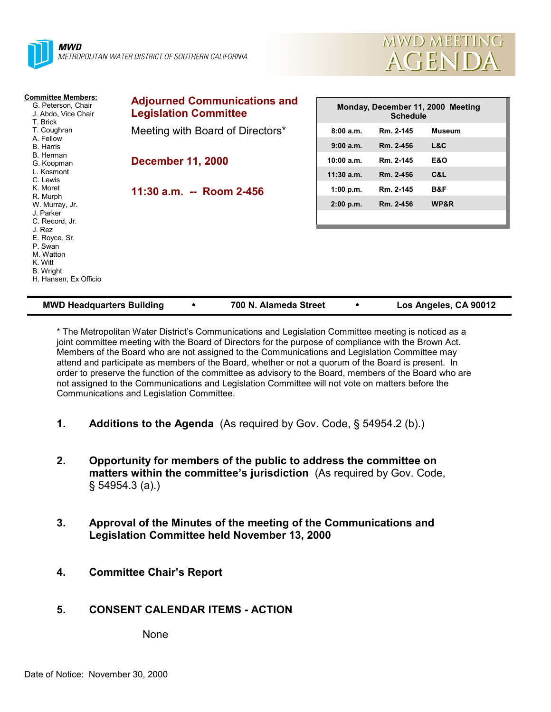



| <b>Committee Members:</b><br>G. Peterson, Chair<br>J. Abdo, Vice Chair<br>T. Brick               | <b>Adjourned Communications and</b><br><b>Legislation Committee</b> | Monday, December 11, 2000 Meeting<br><b>Schedule</b> |           |                |
|--------------------------------------------------------------------------------------------------|---------------------------------------------------------------------|------------------------------------------------------|-----------|----------------|
| T. Coughran                                                                                      | Meeting with Board of Directors*                                    | 8:00a.m.                                             | Rm. 2-145 | <b>Museum</b>  |
| A. Fellow<br><b>B.</b> Harris                                                                    |                                                                     | 9:00 a.m.                                            | Rm. 2-456 | L&C            |
| B. Herman<br>G. Koopman                                                                          | <b>December 11, 2000</b>                                            | $10:00$ a.m.                                         | Rm. 2-145 | <b>E&amp;O</b> |
| L. Kosmont<br>C. Lewis                                                                           |                                                                     | $11:30$ a.m.                                         | Rm. 2-456 | C&L            |
| K. Moret                                                                                         | 11:30 a.m. -- Room 2-456                                            | 1:00 p.m.                                            | Rm. 2-145 | B&F            |
| R. Murph<br>W. Murray, Jr.<br>J. Parker<br>C. Record, Jr.                                        |                                                                     | 2:00 p.m.                                            | Rm. 2-456 | WP&R           |
| J. Rez<br>E. Royce, Sr.<br>P. Swan<br>M. Watton<br>K. Witt<br>B. Wright<br>H. Hansen, Ex Officio |                                                                     |                                                      |           |                |

| <b>MWD Headquarters Building</b><br>700 N. Alameda Street |  | Los Angeles, CA 90012 |
|-----------------------------------------------------------|--|-----------------------|
|-----------------------------------------------------------|--|-----------------------|

\* The Metropolitan Water District's Communications and Legislation Committee meeting is noticed as a joint committee meeting with the Board of Directors for the purpose of compliance with the Brown Act. Members of the Board who are not assigned to the Communications and Legislation Committee may attend and participate as members of the Board, whether or not a quorum of the Board is present. In order to preserve the function of the committee as advisory to the Board, members of the Board who are not assigned to the Communications and Legislation Committee will not vote on matters before the Communications and Legislation Committee.

- **1. Additions to the Agenda** (As required by Gov. Code, § 54954.2 (b).)
- **2. Opportunity for members of the public to address the committee on matters within the committee's jurisdiction** (As required by Gov. Code, § 54954.3 (a).)
- **3. Approval of the Minutes of the meeting of the Communications and Legislation Committee held November 13, 2000**
- **4. Committee Chair's Report**
- **5. CONSENT CALENDAR ITEMS ACTION**

None